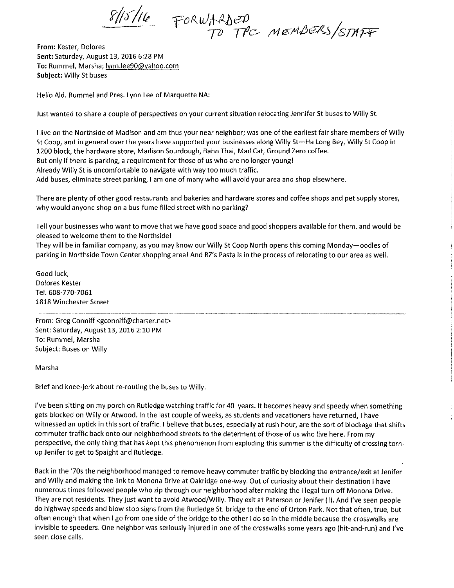$\frac{8}{10}$  FORWARDED<br>TO TPC MEMBERS/STAFF

From: Kester, Dolores Sent: Saturday, August 13, 2016 6:28 PM To: Rummel, Marsha; lynn.lee90@yahoo.com Subject: Willy St buses

Hello Ald. Rummel and Pres. Lynn Lee of Marquette NA:

Just wanted to share a couple of perspectives on your current situation relocating Jennifer St buses to Willy St.

I live on the Northside of Madison and am thus your near neighbor; was one of the earliest fair share members of Willy St Coop, and in general over the years have supported your businesses along Willy St-Ha Long Bey, Willy St Coop in 1200 block, the hardware store, Madison Sourdough, Bahn Thai, Mad Cat, Ground Zero coffee. But only if there is parking, a requirement for those of us who are no longer young! Already Willy St is uncomfortable to navigate with way too much traffic. Add buses, eliminate street parking, I am one of many who will avoid your area and shop elsewhere.

There are plenty of other good restaurants and bakeries and hardware stores and coffee shops and pet supply stores, why would anyone shop on a bus-fume filled street with no parking?

Tell your businesses who want to move that we have good space and good shoppers available for them, and would be pleased to welcome them to the Northside!

They will be in familiar company, as you may know our Willy St Coop North opens this coming Monday-oodles of parking in Northside Town Center shopping area! And RZ's Pasta is in the process of relocating to our area as well.

Good luck, Dolores Kester Tel. 608-770-7061 1818 Winchester Street

From: Greg Conniff <gconniff@charter.net> Sent: Saturday, August 13, 2016 2:10 PM To: Rummel, Marsha Subject: Buses on Willy

### Marsha

Brief and knee-jerk about re-routing the buses to Willy.

I've been sitting on my porch on Rutledge watching traffic for 40 years. It becomes heavy and speedy when something gets blocked on Willy or Atwood. In the last couple of weeks, as students and vacationers have returned, I have witnessed an uptick in this sort of traffic. I believe that buses, especially at rush hour, are the sort of blockage that shifts commuter traffic back onto our neighborhood streets to the determent of those of us who live here. From my perspective, the only thing that has kept this phenomenon from exploding this summer is the difficulty of crossing tornup Jenifer to get to Spaight and Rutledge.

Back in the '70s the neighborhood managed to remove heavy commuter traffic by blocking the entrance/exit at Jenifer and Willy and making the link to Monona Drive at Oakridge one-way. Out of curiosity about their destination I have numerous times followed people who zip through our neighborhood after making the illegal turn off Monona Drive. They are not residents. They just want to avoid Atwood/Willy. They exit at Paterson or Jenifer (I). And I've seen people do highway speeds and blow stop signs from the Rutledge St. bridge to the end of Orton Park. Not that often, true, but often enough that when I go from one side of the bridge to the other I do so in the middle because the crosswalks are invisible to speeders. One neighbor was seriously injured in one of the crosswalks some years ago (hit-and-run) and I've seen close calls.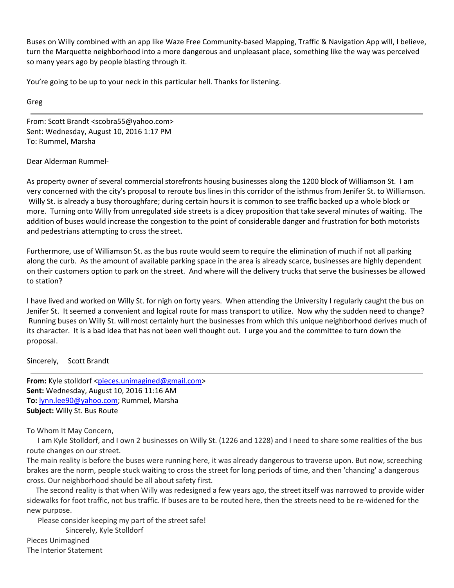Buses on Willy combined with an app like Waze Free [Community](https://www.waze.com/)-based Mapping, Traffic & Navigation App will, I believe, turn the Marquette neighborhood into a more dangerous and unpleasant place, something like the way was perceived so many years ago by people blasting through it.

You're going to be up to your neck in this particular hell. Thanks for listening.

Greg

From: Scott Brandt <[scobra55@yahoo.com>](mailto:scobra55@yahoo.com) Sent: Wednesday, August 10, 2016 1:17 PM To: Rummel, Marsha

# Dear Alderman Rummel‐

As property owner of several commercial storefronts housing businesses along the 1200 block of Williamson St. I am very concerned with the city's proposal to reroute bus lines in this corridor of the isthmus from Jenifer St. to Williamson. Willy St. is already a busy thoroughfare; during certain hours it is common to see traffic backed up a whole block or more. Turning onto Willy from unregulated side streets is a dicey proposition that take several minutes of waiting. The addition of buses would increase the congestion to the point of considerable danger and frustration for both motorists and pedestrians attempting to cross the street.

Furthermore, use of Williamson St. as the bus route would seem to require the elimination of much if not all parking along the curb. As the amount of available parking space in the area is already scarce, businesses are highly dependent on their customers option to park on the street. And where will the delivery trucks that serve the businesses be allowed to station?

I have lived and worked on Willy St. for nigh on forty years. When attending the University I regularly caught the bus on Jenifer St. It seemed a convenient and logical route for mass transport to utilize. Now why the sudden need to change? Running buses on Willy St. will most certainly hurt the businesses from which this unique neighborhood derives much of its character. It is a bad idea that has not been well thought out. I urge you and the committee to turn down the proposal.

Sincerely, Scott Brandt

**From:** Kyle stolldorf [<pieces.unimagined@gmail.com](mailto:pieces.unimagined@gmail.com)> **Sent:** Wednesday, August 10, 2016 11:16 AM **To:** [lynn.lee90@yahoo.com;](mailto:lynn.lee90@yahoo.com) Rummel, Marsha **Subject:** Willy St. Bus Route

To Whom It May Concern,

 I am Kyle Stolldorf, and I own 2 businesses on Willy St. (1226 and 1228) and I need to share some realities of the bus route changes on our street.

The main reality is before the buses were running here, it was already dangerous to traverse upon. But now, screeching brakes are the norm, people stuck waiting to cross the street for long periods of time, and then 'chancing' a dangerous cross. Our neighborhood should be all about safety first.

 The second reality is that when Willy was redesigned a few years ago, the street itself was narrowed to provide wider sidewalks for foot traffic, not bus traffic. If buses are to be routed here, then the streets need to be re-widened for the new purpose.

 Please consider keeping my part of the street safe! Sincerely, Kyle Stolldorf Pieces Unimagined The Interior Statement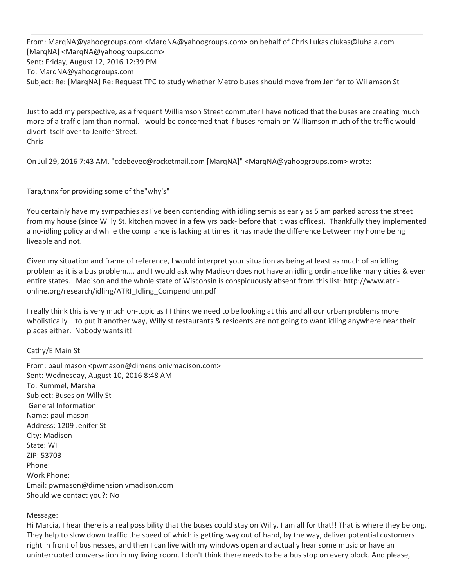From: [MarqNA@yahoogroups.com](mailto:MarqNA@yahoogroups.com) <[MarqNA@yahoogroups.com>](mailto:MarqNA@yahoogroups.com) on behalf of Chris Lukas [clukas@luhala.com](mailto:clukas@luhala.com) [MarqNA] [<MarqNA@yahoogroups.com](mailto:MarqNA@yahoogroups.com)> Sent: Friday, August 12, 2016 12:39 PM To: [MarqNA@yahoogroups.com](mailto:MarqNA@yahoogroups.com) Subject: Re: [MarqNA] Re: Request TPC to study whether Metro buses should move from Jenifer to Willamson St

Just to add my perspective, as a frequent Williamson Street commuter I have noticed that the buses are creating much more of a traffic jam than normal. I would be concerned that if buses remain on Williamson much of the traffic would divert itself over to Jenifer Street. Chris

On Jul 29, 2016 7:43 AM, "[cdebevec@rocketmail.com](mailto:cdebevec@rocketmail.com) [MarqNA]" <[MarqNA@yahoogroups.com>](mailto:MarqNA@yahoogroups.com) wrote:

Tara,thnx for providing some of the"why's"

You certainly have my sympathies as I've been contending with idling semis as early as 5 am parked across the street from my house (since Willy St. kitchen moved in a few yrs back- before that it was offices). Thankfully they implemented a no-idling policy and while the compliance is lacking at times it has made the difference between my home being liveable and not.

Given my situation and frame of reference, I would interpret your situation as being at least as much of an idling problem as it is a bus problem.... and I would ask why Madison does not have an idling ordinance like many cities & even entire states. Madison and the whole state of Wisconsin is conspicuously absent from this list: [http://www.atri](http://www.atri-online.org/research/idling/ATRI_Idling_Compendium.pdf)[online.org/research/idling/ATRI\\_Idling\\_Compendium.pdf](http://www.atri-online.org/research/idling/ATRI_Idling_Compendium.pdf)

I really think this is very much on‐topic as I I think we need to be looking at this and all our urban problems more wholistically – to put it another way, Willy st restaurants & residents are not going to want idling anywhere near their places either. Nobody wants it!

### Cathy/E Main St

From: paul mason <[pwmason@dimensionivmadison.com](mailto:pwmason@dimensionivmadison.com)> Sent: Wednesday, August 10, 2016 8:48 AM To: Rummel, Marsha Subject: Buses on Willy St General Information Name: paul mason Address: 1209 Jenifer St City: Madison State: WI ZIP: 53703 Phone: Work Phone: Email: [pwmason@dimensionivmadison.com](mailto:pwmason@dimensionivmadison.com) Should we contact you?: No

### Message:

Hi Marcia, I hear there is a real possibility that the buses could stay on Willy. I am all for that!! That is where they belong. They help to slow down traffic the speed of which is getting way out of hand, by the way, deliver potential customers right in front of businesses, and then I can live with my windows open and actually hear some music or have an uninterrupted conversation in my living room. I don't think there needs to be a bus stop on every block. And please,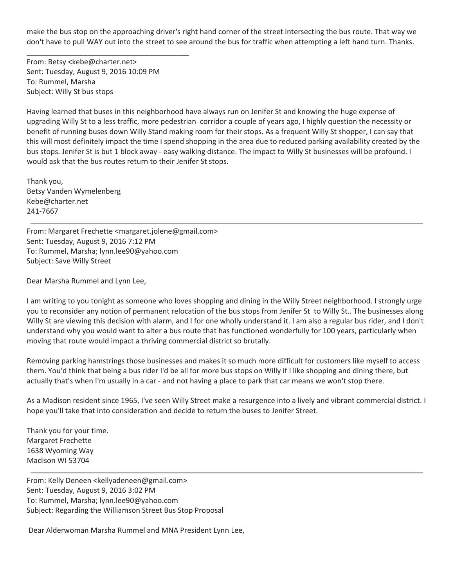make the bus stop on the approaching driver's right hand corner of the street intersecting the bus route. That way we don't have to pull WAY out into the street to see around the bus for traffic when attempting a left hand turn. Thanks.

From: Betsy [<kebe@charter.net](mailto:kebe@charter.net)> Sent: Tuesday, August 9, 2016 10:09 PM To: Rummel, Marsha Subject: Willy St bus stops

\_\_\_\_\_\_\_\_\_\_\_\_\_\_\_\_\_\_\_\_\_\_\_\_\_\_\_\_\_\_\_\_\_\_\_\_\_\_\_\_

Having learned that buses in this neighborhood have always run on Jenifer St and knowing the huge expense of upgrading Willy St to a less traffic, more pedestrian corridor a couple of years ago, I highly question the necessity or benefit of running buses down Willy Stand making room for their stops. As a frequent Willy St shopper, I can say that this will most definitely impact the time I spend shopping in the area due to reduced parking availability created by the bus stops. Jenifer St is but 1 block away ‐ easy walking distance. The impact to Willy St businesses will be profound. I would ask that the bus routes return to their Jenifer St stops.

Thank you, Betsy Vanden Wymelenberg [Kebe@charter.net](mailto:Kebe@charter.net) 241‐7667

From: Margaret Frechette [<margaret.jolene@gmail.com](mailto:margaret.jolene@gmail.com)> Sent: Tuesday, August 9, 2016 7:12 PM To: Rummel, Marsha; [lynn.lee90@yahoo.com](mailto:lynn.lee90@yahoo.com) Subject: Save Willy Street

Dear Marsha Rummel and Lynn Lee,

I am writing to you tonight as someone who loves shopping and dining in the Willy Street neighborhood. I strongly urge you to reconsider any notion of permanent relocation of the bus stops from Jenifer St to Willy St.. The businesses along Willy St are viewing this decision with alarm, and I for one wholly understand it. I am also a regular bus rider, and I don't understand why you would want to alter a bus route that has functioned wonderfully for 100 years, particularly when moving that route would impact a thriving commercial district so brutally.

Removing parking hamstrings those businesses and makes it so much more difficult for customers like myself to access them. You'd think that being a bus rider I'd be all for more bus stops on Willy if I like shopping and dining there, but actually that's when I'm usually in a car ‐ and not having a place to park that car means we won't stop there.

As a Madison resident since 1965, I've seen Willy Street make a resurgence into a lively and vibrant commercial district. I hope you'll take that into consideration and decide to return the buses to Jenifer Street.

Thank you for your time. Margaret Frechette 1638 Wyoming Way Madison WI 53704

From: Kelly Deneen [<kellyadeneen@gmail.com](mailto:kellyadeneen@gmail.com)> Sent: Tuesday, August 9, 2016 3:02 PM To: Rummel, Marsha; [lynn.lee90@yahoo.com](mailto:lynn.lee90@yahoo.com) Subject: Regarding the Williamson Street Bus Stop Proposal

Dear Alderwoman Marsha Rummel and MNA President Lynn Lee,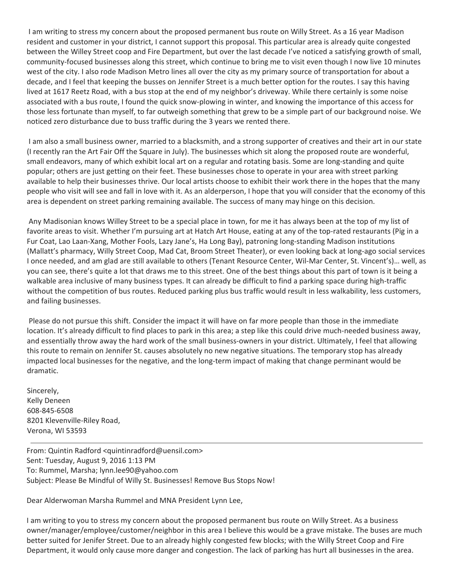I am writing to stress my concern about the proposed permanent bus route on Willy Street. As a 16 year Madison resident and customer in your district, I cannot support this proposal. This particular area is already quite congested between the Willey Street coop and Fire Department, but over the last decade I've noticed a satisfying growth of small, community-focused businesses along this street, which continue to bring me to visit even though I now live 10 minutes west of the city. I also rode Madison Metro lines all over the city as my primary source of transportation for about a decade, and I feel that keeping the busses on Jennifer Street is a much better option for the routes. I say this having lived at 1617 Reetz Road, with a bus stop at the end of my neighbor's driveway. While there certainly is some noise associated with a bus route, I found the quick snow‐plowing in winter, and knowing the importance of this access for those less fortunate than myself, to far outweigh something that grew to be a simple part of our background noise. We noticed zero disturbance due to buss traffic during the 3 years we rented there.

I am also a small business owner, married to a blacksmith, and a strong supporter of creatives and their art in our state (I recently ran the Art Fair Off the Square in July). The businesses which sit along the proposed route are wonderful, small endeavors, many of which exhibit local art on a regular and rotating basis. Some are long-standing and quite popular; others are just getting on their feet. These businesses chose to operate in your area with street parking available to help their businesses thrive. Our local artists choose to exhibit their work there in the hopes that the many people who visit will see and fall in love with it. As an alderperson, I hope that you will consider that the economy of this area is dependent on street parking remaining available. The success of many may hinge on this decision.

Any Madisonian knows Willey Street to be a special place in town, for me it has always been at the top of my list of favorite areas to visit. Whether I'm pursuing art at Hatch Art House, eating at any of the top-rated restaurants (Pig in a Fur Coat, Lao Laan‐Xang, Mother Fools, Lazy Jane's, Ha Long Bay), patroning long‐standing Madison institutions (Mallatt's pharmacy, Willy Street Coop, Mad Cat, Broom Street Theater), or even looking back at long‐ago social services I once needed, and am glad are still available to others (Tenant Resource Center, Wil‐Mar Center, St. Vincent's)… well, as you can see, there's quite a lot that draws me to this street. One of the best things about this part of town is it being a walkable area inclusive of many business types. It can already be difficult to find a parking space during high-traffic without the competition of bus routes. Reduced parking plus bus traffic would result in less walkability, less customers, and failing businesses.

Please do not pursue this shift. Consider the impact it will have on far more people than those in the immediate location. It's already difficult to find places to park in this area; a step like this could drive much‐needed business away, and essentially throw away the hard work of the small business-owners in your district. Ultimately, I feel that allowing this route to remain on Jennifer St. causes absolutely no new negative situations. The temporary stop has already impacted local businesses for the negative, and the long-term impact of making that change perminant would be dramatic.

Sincerely, Kelly Deneen 608‐845‐6508 8201 Klevenville‐Riley Road, Verona, WI 53593

From: Quintin Radford <[quintinradford@uensil.com](mailto:quintinradford@uensil.com)> Sent: Tuesday, August 9, 2016 1:13 PM To: Rummel, Marsha; [lynn.lee90@yahoo.com](mailto:lynn.lee90@yahoo.com) Subject: Please Be Mindful of Willy St. Businesses! Remove Bus Stops Now!

Dear Alderwoman Marsha Rummel and MNA President Lynn Lee,

I am writing to you to stress my concern about the proposed permanent bus route on Willy Street. As a business owner/manager/employee/customer/neighbor in this area I believe this would be a grave mistake. The buses are much better suited for Jenifer Street. Due to an already highly congested few blocks; with the Willy Street Coop and Fire Department, it would only cause more danger and congestion. The lack of parking has hurt all businesses in the area.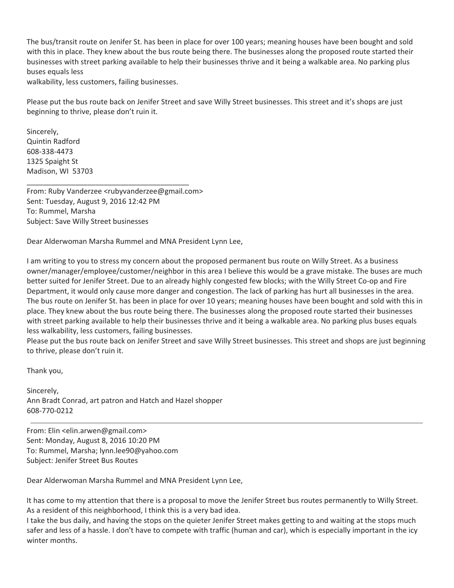The bus/transit route on Jenifer St. has been in place for over 100 years; meaning houses have been bought and sold with this in place. They knew about the bus route being there. The businesses along the proposed route started their businesses with street parking available to help their businesses thrive and it being a walkable area. No parking plus buses equals less

walkability, less customers, failing businesses.

Please put the bus route back on Jenifer Street and save Willy Street businesses. This street and it's shops are just beginning to thrive, please don't ruin it.

Sincerely, Quintin Radford 608‐338‐4473 1325 Spaight St Madison, WI 53703

From: Ruby Vanderzee [<rubyvanderzee@gmail.com](mailto:rubyvanderzee@gmail.com)> Sent: Tuesday, August 9, 2016 12:42 PM To: Rummel, Marsha Subject: Save Willy Street businesses

\_\_\_\_\_\_\_\_\_\_\_\_\_\_\_\_\_\_\_\_\_\_\_\_\_\_\_\_\_\_\_\_\_\_\_\_\_\_\_\_

Dear Alderwoman Marsha Rummel and MNA President Lynn Lee,

I am writing to you to stress my concern about the proposed permanent bus route on Willy Street. As a business owner/manager/employee/customer/neighbor in this area I believe this would be a grave mistake. The buses are much better suited for Jenifer Street. Due to an already highly congested few blocks; with the Willy Street Co-op and Fire Department, it would only cause more danger and congestion. The lack of parking has hurt all businesses in the area. The bus route on Jenifer St. has been in place for over 10 years; meaning houses have been bought and sold with this in place. They knew about the bus route being there. The businesses along the proposed route started their businesses with street parking available to help their businesses thrive and it being a walkable area. No parking plus buses equals less walkability, less customers, failing businesses.

Please put the bus route back on Jenifer Street and save Willy Street businesses. This street and shops are just beginning to thrive, please don't ruin it.

Thank you,

Sincerely, Ann Bradt Conrad, art patron and Hatch and Hazel shopper 608‐770‐0212

From: Elin <[elin.arwen@gmail.com](mailto:elin.arwen@gmail.com)> Sent: Monday, August 8, 2016 10:20 PM To: Rummel, Marsha; [lynn.lee90@yahoo.com](mailto:lynn.lee90@yahoo.com) Subject: Jenifer Street Bus Routes

Dear Alderwoman Marsha Rummel and MNA President Lynn Lee,

It has come to my attention that there is a proposal to move the Jenifer Street bus routes permanently to Willy Street. As a resident of this neighborhood, I think this is a very bad idea.

I take the bus daily, and having the stops on the quieter Jenifer Street makes getting to and waiting at the stops much safer and less of a hassle. I don't have to compete with traffic (human and car), which is especially important in the icy winter months.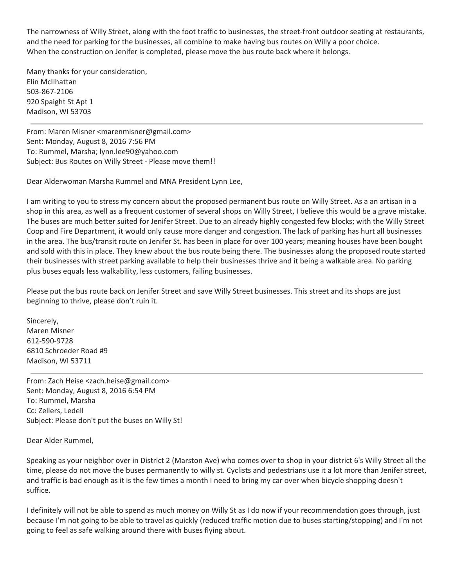The narrowness of Willy Street, along with the foot traffic to businesses, the street-front outdoor seating at restaurants, and the need for parking for the businesses, all combine to make having bus routes on Willy a poor choice. When the construction on Jenifer is completed, please move the bus route back where it belongs.

Many thanks for your consideration, Elin McIlhattan 503‐867‐2106 920 Spaight St Apt 1 Madison, WI 53703

From: Maren Misner [<marenmisner@gmail.com](mailto:marenmisner@gmail.com)> Sent: Monday, August 8, 2016 7:56 PM To: Rummel, Marsha; [lynn.lee90@yahoo.com](mailto:lynn.lee90@yahoo.com) Subject: Bus Routes on Willy Street ‐ Please move them!!

Dear Alderwoman Marsha Rummel and MNA President Lynn Lee,

I am writing to you to stress my concern about the proposed permanent bus route on Willy Street. As a an artisan in a shop in this area, as well as a frequent customer of several shops on Willy Street, I believe this would be a grave mistake. The buses are much better suited for Jenifer Street. Due to an already highly congested few blocks; with the Willy Street Coop and Fire Department, it would only cause more danger and congestion. The lack of parking has hurt all businesses in the area. The bus/transit route on Jenifer St. has been in place for over 100 years; meaning houses have been bought and sold with this in place. They knew about the bus route being there. The businesses along the proposed route started their businesses with street parking available to help their businesses thrive and it being a walkable area. No parking plus buses equals less walkability, less customers, failing businesses.

Please put the bus route back on Jenifer Street and save Willy Street businesses. This street and its shops are just beginning to thrive, please don't ruin it.

Sincerely, Maren Misner 612‐590‐9728 6810 Schroeder Road #9 Madison, WI 53711

From: Zach Heise <[zach.heise@gmail.com](mailto:zach.heise@gmail.com)> Sent: Monday, August 8, 2016 6:54 PM To: Rummel, Marsha Cc: Zellers, Ledell Subject: Please don't put the buses on Willy St!

Dear Alder Rummel,

Speaking as your neighbor over in District 2 (Marston Ave) who comes over to shop in your district 6's Willy Street all the time, please do not move the buses permanently to willy st. Cyclists and pedestrians use it a lot more than Jenifer street, and traffic is bad enough as it is the few times a month I need to bring my car over when bicycle shopping doesn't suffice.

I definitely will not be able to spend as much money on Willy St as I do now if your recommendation goes through, just because I'm not going to be able to travel as quickly (reduced traffic motion due to buses starting/stopping) and I'm not going to feel as safe walking around there with buses flying about.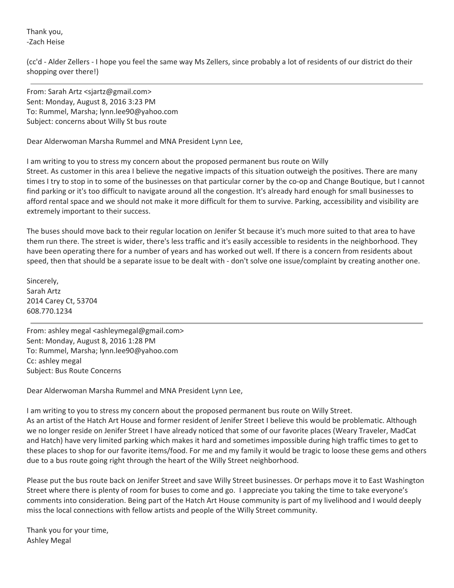Thank you, ‐Zach Heise

(cc'd ‐ Alder Zellers ‐ I hope you feel the same way Ms Zellers, since probably a lot of residents of our district do their shopping over there!)

From: Sarah Artz <[sjartz@gmail.com>](mailto:sjartz@gmail.com) Sent: Monday, August 8, 2016 3:23 PM To: Rummel, Marsha; [lynn.lee90@yahoo.com](mailto:lynn.lee90@yahoo.com) Subject: concerns about Willy St bus route

Dear Alderwoman Marsha Rummel and MNA President Lynn Lee,

I am writing to you to stress my concern about the proposed permanent bus route on Willy Street. As customer in this area I believe the negative impacts of this situation outweigh the positives. There are many times I try to stop in to some of the businesses on that particular corner by the co-op and Change Boutique, but I cannot find parking or it's too difficult to navigate around all the congestion. It's already hard enough for small businesses to afford rental space and we should not make it more difficult for them to survive. Parking, accessibility and visibility are extremely important to their success.

The buses should move back to their regular location on Jenifer St because it's much more suited to that area to have them run there. The street is wider, there's less traffic and it's easily accessible to residents in the neighborhood. They have been operating there for a number of years and has worked out well. If there is a concern from residents about speed, then that should be a separate issue to be dealt with - don't solve one issue/complaint by creating another one.

Sincerely, Sarah Artz 2014 Carey Ct, 53704 608.770.1234

From: ashley megal <[ashleymegal@gmail.com>](mailto:ashleymegal@gmail.com) Sent: Monday, August 8, 2016 1:28 PM To: Rummel, Marsha; [lynn.lee90@yahoo.com](mailto:lynn.lee90@yahoo.com) Cc: ashley megal Subject: Bus Route Concerns

Dear Alderwoman Marsha Rummel and MNA President Lynn Lee,

I am writing to you to stress my concern about the proposed permanent bus route on Willy Street.

As an artist of the Hatch Art House and former resident of Jenifer Street I believe this would be problematic. Although we no longer reside on Jenifer Street I have already noticed that some of our favorite places (Weary Traveler, MadCat and Hatch) have very limited parking which makes it hard and sometimes impossible during high traffic times to get to these places to shop for our favorite items/food. For me and my family it would be tragic to loose these gems and others due to a bus route going right through the heart of the Willy Street neighborhood.

Please put the bus route back on Jenifer Street and save Willy Street businesses. Or perhaps move it to East Washington Street where there is plenty of room for buses to come and go. I appreciate you taking the time to take everyone's comments into consideration. Being part of the Hatch Art House community is part of my livelihood and I would deeply miss the local connections with fellow artists and people of the Willy Street community.

Thank you for your time, Ashley Megal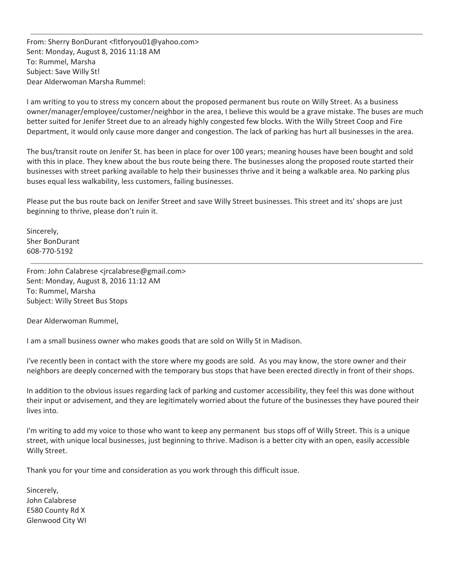From: Sherry BonDurant <[fitforyou01@yahoo.com>](mailto:fitforyou01@yahoo.com) Sent: Monday, August 8, 2016 11:18 AM To: Rummel, Marsha Subject: Save Willy St! Dear Alderwoman Marsha Rummel:

I am writing to you to stress my concern about the proposed permanent bus route on Willy Street. As a business owner/manager/employee/customer/neighbor in the area, I believe this would be a grave mistake. The buses are much better suited for Jenifer Street due to an already highly congested few blocks. With the Willy Street Coop and Fire Department, it would only cause more danger and congestion. The lack of parking has hurt all businesses in the area.

The bus/transit route on Jenifer St. has been in place for over 100 years; meaning houses have been bought and sold with this in place. They knew about the bus route being there. The businesses along the proposed route started their businesses with street parking available to help their businesses thrive and it being a walkable area. No parking plus buses equal less walkability, less customers, failing businesses.

Please put the bus route back on Jenifer Street and save Willy Street businesses. This street and its' shops are just beginning to thrive, please don't ruin it.

Sincerely, Sher BonDurant 608‐770‐5192

From: John Calabrese <[jrcalabrese@gmail.com](mailto:jrcalabrese@gmail.com)> Sent: Monday, August 8, 2016 11:12 AM To: Rummel, Marsha Subject: Willy Street Bus Stops

Dear Alderwoman Rummel,

I am a small business owner who makes goods that are sold on Willy St in Madison.

I've recently been in contact with the store where my goods are sold. As you may know, the store owner and their neighbors are deeply concerned with the temporary bus stops that have been erected directly in front of their shops.

In addition to the obvious issues regarding lack of parking and customer accessibility, they feel this was done without their input or advisement, and they are legitimately worried about the future of the businesses they have poured their lives into.

I'm writing to add my voice to those who want to keep any permanent bus stops off of Willy Street. This is a unique street, with unique local businesses, just beginning to thrive. Madison is a better city with an open, easily accessible Willy Street.

Thank you for your time and consideration as you work through this difficult issue.

Sincerely, John Calabrese E580 County Rd X Glenwood City WI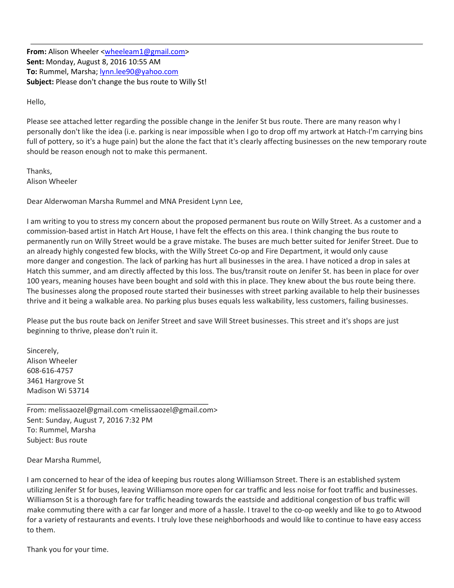**From:** Alison Wheeler [<wheeleam1@gmail.com>](mailto:wheeleam1@gmail.com) **Sent:** Monday, August 8, 2016 10:55 AM **To:** Rummel, Marsha; [lynn.lee90@yahoo.com](mailto:lynn.lee90@yahoo.com) **Subject:** Please don't change the bus route to Willy St!

Hello,

Please see attached letter regarding the possible change in the Jenifer St bus route. There are many reason why I personally don't like the idea (i.e. parking is near impossible when I go to drop off my artwork at Hatch‐I'm carrying bins full of pottery, so it's a huge pain) but the alone the fact that it's clearly affecting businesses on the new temporary route should be reason enough not to make this permanent.

Thanks, Alison Wheeler

Dear Alderwoman Marsha Rummel and MNA President Lynn Lee,

I am writing to you to stress my concern about the proposed permanent bus route on Willy Street. As a customer and a commission‐based artist in Hatch Art House, I have felt the effects on this area. I think changing the bus route to permanently run on Willy Street would be a grave mistake. The buses are much better suited for Jenifer Street. Due to an already highly congested few blocks, with the Willy Street Co-op and Fire Department, it would only cause more danger and congestion. The lack of parking has hurt all businesses in the area. I have noticed a drop in sales at Hatch this summer, and am directly affected by this loss. The bus/transit route on Jenifer St. has been in place for over 100 years, meaning houses have been bought and sold with this in place. They knew about the bus route being there. The businesses along the proposed route started their businesses with street parking available to help their businesses thrive and it being a walkable area. No parking plus buses equals less walkability, less customers, failing businesses.

Please put the bus route back on Jenifer Street and save Will Street businesses. This street and it's shops are just beginning to thrive, please don't ruin it.

Sincerely, Alison Wheeler 608‐616‐4757 3461 Hargrove St Madison Wi 53714

From: [melissaozel@gmail.com](mailto:melissaozel@gmail.com) [<melissaozel@gmail.com](mailto:melissaozel@gmail.com)> Sent: Sunday, August 7, 2016 7:32 PM To: Rummel, Marsha Subject: Bus route

\_\_\_\_\_\_\_\_\_\_\_\_\_\_\_\_\_\_\_\_\_\_\_\_\_\_\_\_\_\_\_\_\_\_\_\_\_\_\_\_

Dear Marsha Rummel,

I am concerned to hear of the idea of keeping bus routes along Williamson Street. There is an established system utilizing Jenifer St for buses, leaving Williamson more open for car traffic and less noise for foot traffic and businesses. Williamson St is a thorough fare for traffic heading towards the eastside and additional congestion of bus traffic will make commuting there with a car far longer and more of a hassle. I travel to the co‐op weekly and like to go to Atwood for a variety of restaurants and events. I truly love these neighborhoods and would like to continue to have easy access to them.

Thank you for your time.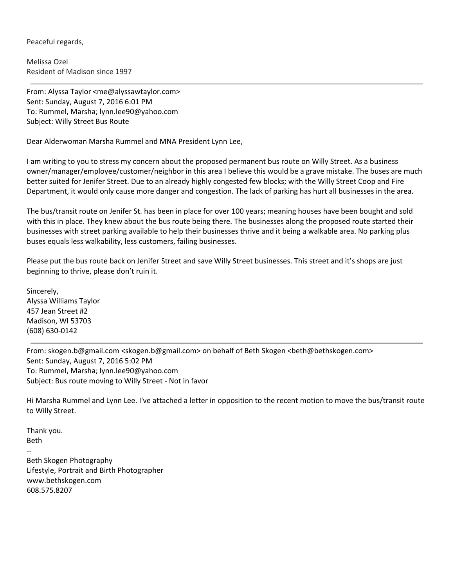Peaceful regards,

Melissa Ozel Resident of Madison since 1997

From: Alyssa Taylor <[me@alyssawtaylor.com>](mailto:me@alyssawtaylor.com) Sent: Sunday, August 7, 2016 6:01 PM To: Rummel, Marsha; [lynn.lee90@yahoo.com](mailto:lynn.lee90@yahoo.com) Subject: Willy Street Bus Route

Dear Alderwoman Marsha Rummel and MNA President Lynn Lee,

I am writing to you to stress my concern about the proposed permanent bus route on Willy Street. As a business owner/manager/employee/customer/neighbor in this area I believe this would be a grave mistake. The buses are much better suited for Jenifer Street. Due to an already highly congested few blocks; with the Willy Street Coop and Fire Department, it would only cause more danger and congestion. The lack of parking has hurt all businesses in the area.

The bus/transit route on Jenifer St. has been in place for over 100 years; meaning houses have been bought and sold with this in place. They knew about the bus route being there. The businesses along the proposed route started their businesses with street parking available to help their businesses thrive and it being a walkable area. No parking plus buses equals less walkability, less customers, failing businesses.

Please put the bus route back on Jenifer Street and save Willy Street businesses. This street and it's shops are just beginning to thrive, please don't ruin it.

Sincerely, Alyssa [Williams](http://www.alyssawtaylor.com/) Taylor 457 Jean Street #2 Madison, WI 53703 (608) 630‐0142

From: [skogen.b@gmail.com](mailto:skogen.b@gmail.com) [<skogen.b@gmail.com](mailto:skogen.b@gmail.com)> on behalf of Beth Skogen <br/>beth@bethskogen.com> Sent: Sunday, August 7, 2016 5:02 PM To: Rummel, Marsha; [lynn.lee90@yahoo.com](mailto:lynn.lee90@yahoo.com) Subject: Bus route moving to Willy Street ‐ Not in favor

Hi Marsha Rummel and Lynn Lee. I've attached a letter in opposition to the recent motion to move the bus/transit route to Willy Street.

Thank you. Beth ‐‐ Beth Skogen Photography Lifestyle, Portrait and Birth Photographer [www.bethskogen.com](http://www.bethskogen.com/) 608.575.8207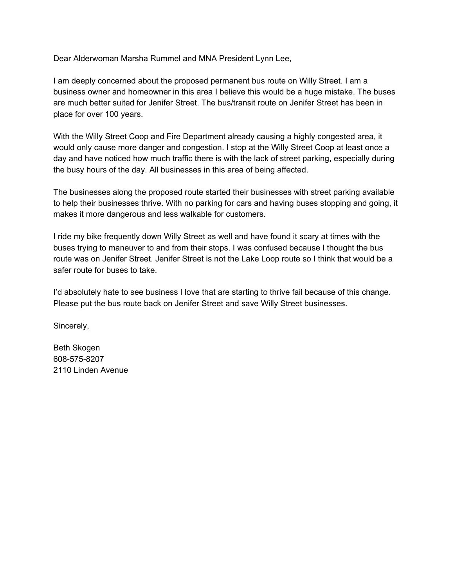Dear Alderwoman Marsha Rummel and MNA President Lynn Lee,

I am deeply concerned about the proposed permanent bus route on Willy Street. I am a business owner and homeowner in this area I believe this would be a huge mistake. The buses are much better suited for Jenifer Street. The bus/transit route on Jenifer Street has been in place for over 100 years.

With the Willy Street Coop and Fire Department already causing a highly congested area, it would only cause more danger and congestion. I stop at the Willy Street Coop at least once a day and have noticed how much traffic there is with the lack of street parking, especially during the busy hours of the day. All businesses in this area of being affected.

The businesses along the proposed route started their businesses with street parking available to help their businesses thrive. With no parking for cars and having buses stopping and going, it makes it more dangerous and less walkable for customers.

I ride my bike frequently down Willy Street as well and have found it scary at times with the buses trying to maneuver to and from their stops. I was confused because I thought the bus route was on Jenifer Street. Jenifer Street is not the Lake Loop route so I think that would be a safer route for buses to take.

I'd absolutely hate to see business I love that are starting to thrive fail because of this change. Please put the bus route back on Jenifer Street and save Willy Street businesses.

Sincerely,

Beth Skogen 608-575-8207 2110 Linden Avenue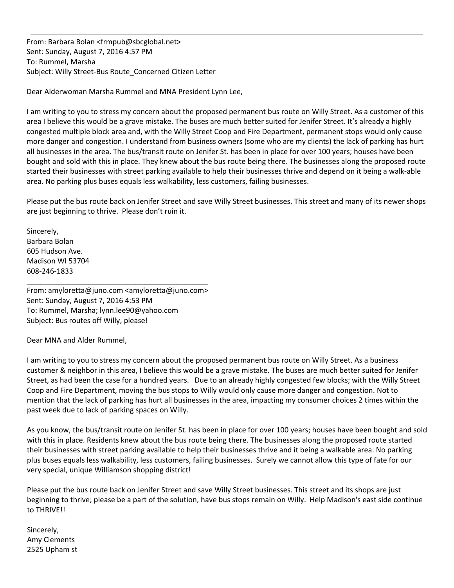From: Barbara Bolan <[frmpub@sbcglobal.net>](mailto:frmpub@sbcglobal.net) Sent: Sunday, August 7, 2016 4:57 PM To: Rummel, Marsha Subject: Willy Street‐Bus Route\_Concerned Citizen Letter

Dear Alderwoman Marsha Rummel and MNA President Lynn Lee,

I am writing to you to stress my concern about the proposed permanent bus route on Willy Street. As a customer of this area I believe this would be a grave mistake. The buses are much better suited for Jenifer Street. It's already a highly congested multiple block area and, with the Willy Street Coop and Fire Department, permanent stops would only cause more danger and congestion. I understand from business owners (some who are my clients) the lack of parking has hurt all businesses in the area. The bus/transit route on Jenifer St. has been in place for over 100 years; houses have been bought and sold with this in place. They knew about the bus route being there. The businesses along the proposed route started their businesses with street parking available to help their businesses thrive and depend on it being a walk‐able area. No parking plus buses equals less walkability, less customers, failing businesses.

Please put the bus route back on Jenifer Street and save Willy Street businesses. This street and many of its newer shops are just beginning to thrive. Please don't ruin it.

Sincerely, Barbara Bolan 605 Hudson Ave. Madison WI 53704 608‐246‐1833

From: [amyloretta@juno.com](mailto:amyloretta@juno.com) [<amyloretta@juno.com](mailto:amyloretta@juno.com)> Sent: Sunday, August 7, 2016 4:53 PM To: Rummel, Marsha; [lynn.lee90@yahoo.com](mailto:lynn.lee90@yahoo.com) Subject: Bus routes off Willy, please!

\_\_\_\_\_\_\_\_\_\_\_\_\_\_\_\_\_\_\_\_\_\_\_\_\_\_\_\_\_\_\_\_\_\_\_\_\_\_\_\_

Dear MNA and Alder Rummel,

I am writing to you to stress my concern about the proposed permanent bus route on Willy Street. As a business customer & neighbor in this area, I believe this would be a grave mistake. The buses are much better suited for Jenifer Street, as had been the case for a hundred years. Due to an already highly congested few blocks; with the Willy Street Coop and Fire Department, moving the bus stops to Willy would only cause more danger and congestion. Not to mention that the lack of parking has hurt all businesses in the area, impacting my consumer choices 2 times within the past week due to lack of parking spaces on Willy.

As you know, the bus/transit route on Jenifer St. has been in place for over 100 years; houses have been bought and sold with this in place. Residents knew about the bus route being there. The businesses along the proposed route started their businesses with street parking available to help their businesses thrive and it being a walkable area. No parking plus buses equals less walkability, less customers, failing businesses. Surely we cannot allow this type of fate for our very special, unique Williamson shopping district!

Please put the bus route back on Jenifer Street and save Willy Street businesses. This street and its shops are just beginning to thrive; please be a part of the solution, have bus stops remain on Willy. Help Madison's east side continue to THRIVE!!

Sincerely, Amy Clements 2525 Upham st